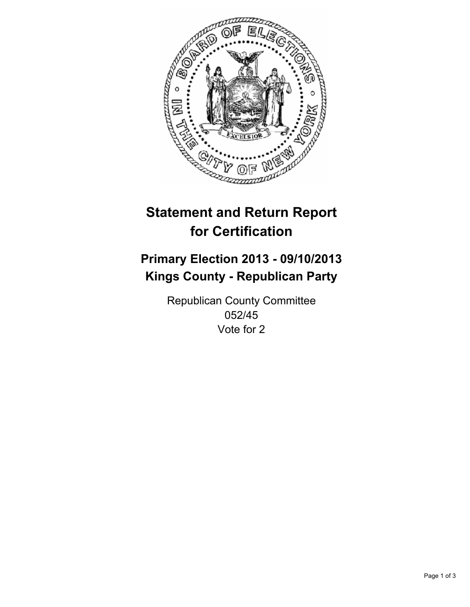

# **Statement and Return Report for Certification**

# **Primary Election 2013 - 09/10/2013 Kings County - Republican Party**

Republican County Committee 052/45 Vote for 2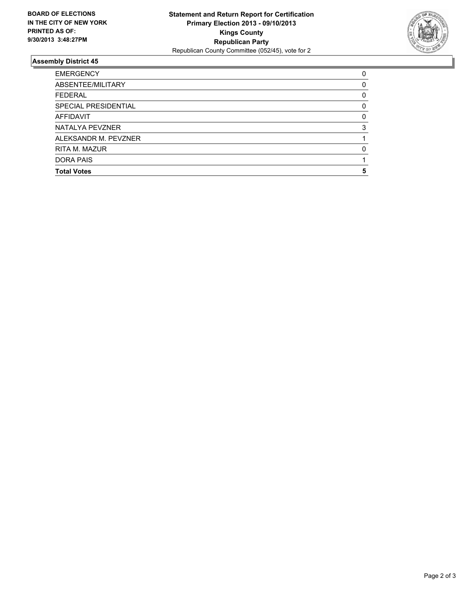

## **Assembly District 45**

| <b>Total Votes</b>   |          |
|----------------------|----------|
|                      | 5        |
| DORA PAIS            |          |
| RITA M. MAZUR        | O        |
| ALEKSANDR M. PEVZNER |          |
| NATALYA PEVZNER      | 3        |
| AFFIDAVIT            | $\Omega$ |
| SPECIAL PRESIDENTIAL | 0        |
| <b>FEDERAL</b>       | 0        |
| ABSENTEE/MILITARY    | 0        |
| <b>EMERGENCY</b>     | 0        |